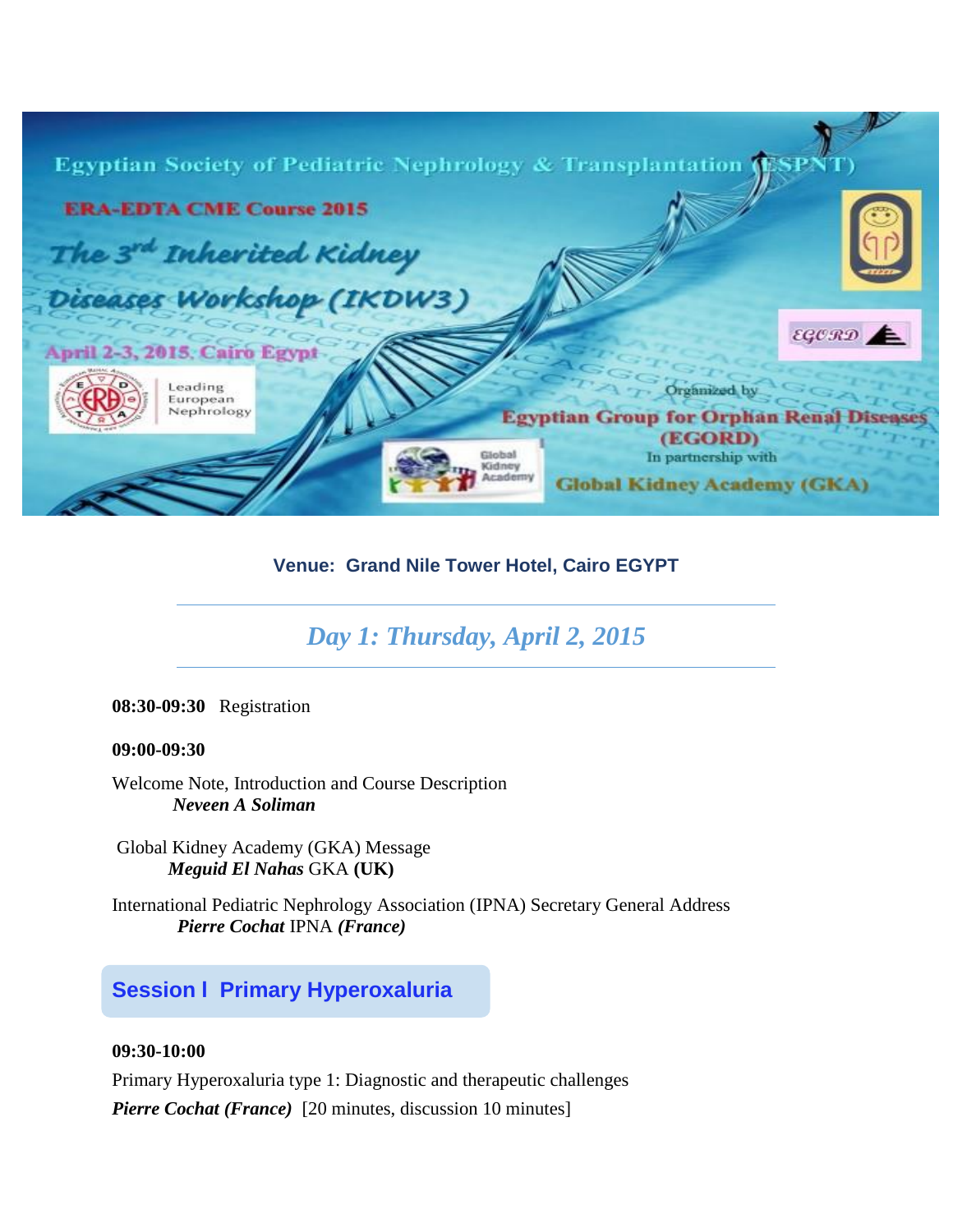| Egyptian Society of Pediatric Nephrology & Transplantation (ESPN |                                                           |
|------------------------------------------------------------------|-----------------------------------------------------------|
| <b>ERA-EDTA CME Course 2015</b>                                  |                                                           |
| The 3rd Inherited Kidney                                         |                                                           |
| Diseases Workshop (IKDW3)                                        |                                                           |
| April 2-3, 2015, Cairo Egypt                                     | $EGCRD \triangle$                                         |
| Leading<br>European                                              | Organized by                                              |
| Nephrology                                                       | <b>Egyptian Group for Orphan Rena</b><br>(EGORD)          |
| Gdmer                                                            | In partnership with<br><b>Global Kidney Academy (GKA)</b> |

## **Venue: Grand Nile Tower Hotel, Cairo EGYPT**

# *Day 1: Thursday, April 2, 2015*

**08:30-09:30** Registration

#### **09:00-09:30**

Welcome Note, Introduction and Course Description  *Neveen A Soliman* 

Global Kidney Academy (GKA) Message *Meguid El Nahas* GKA **(UK)**

International Pediatric Nephrology Association (IPNA) Secretary General Address *Pierre Cochat* IPNA *(France)*

## **Session l Primary Hyperoxaluria**

#### **09:30-10:00**

Primary Hyperoxaluria type 1: Diagnostic and therapeutic challenges

*Pierre Cochat (France)* [20 minutes, discussion 10 minutes]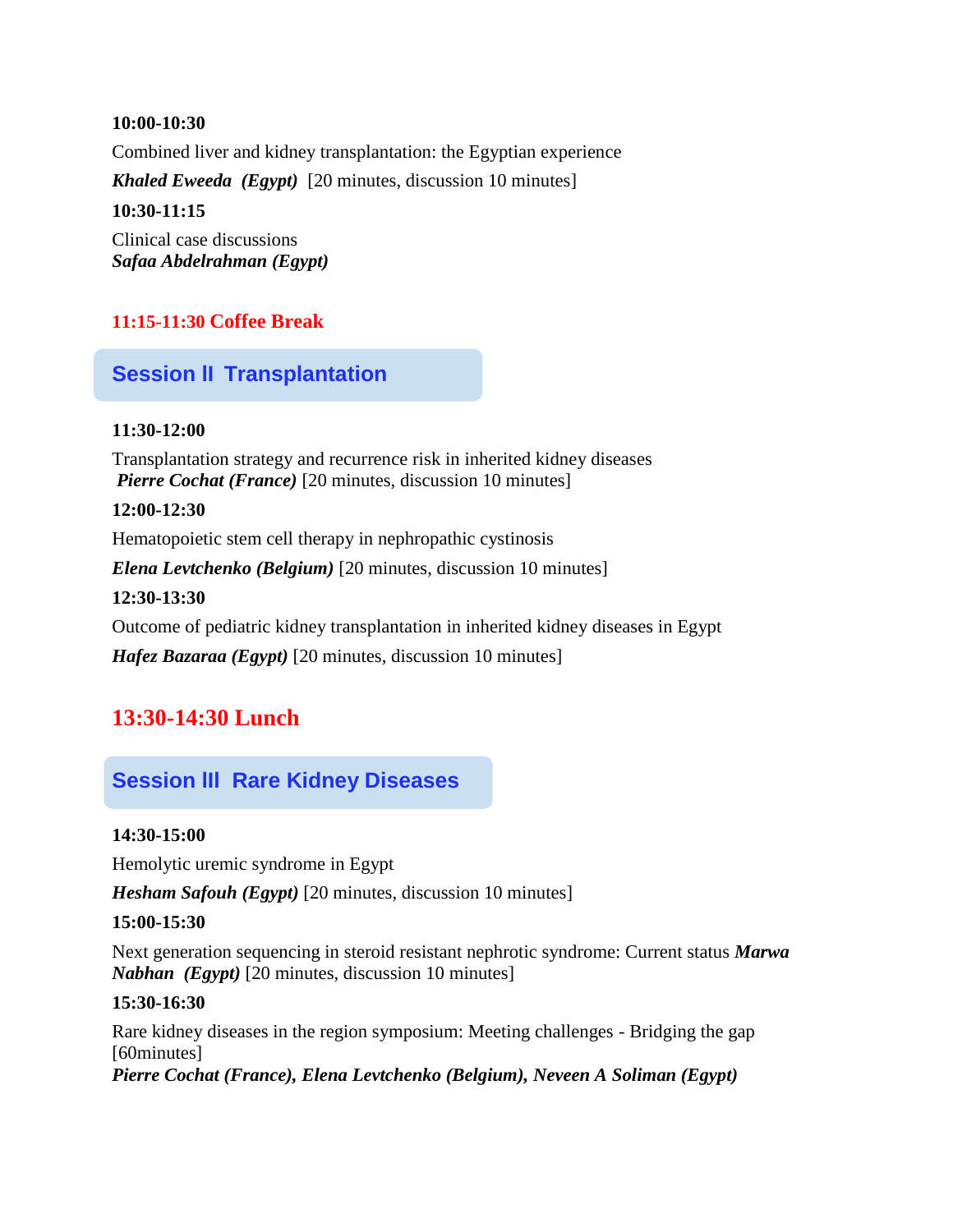#### **10:00-10:30**

Combined liver and kidney transplantation: the Egyptian experience

*Khaled Eweeda (Egypt)* [20 minutes, discussion 10 minutes]

#### **10:30-11:15**

Clinical case discussions *Safaa Abdelrahman (Egypt)* 

### **11:15-11:30 Coffee Break**

## **Session lI Transplantation**

#### **11:30-12:00**

Transplantation strategy and recurrence risk in inherited kidney diseases *Pierre Cochat (France)* [20 minutes, discussion 10 minutes]

#### **12:00-12:30**

Hematopoietic stem cell therapy in nephropathic cystinosis

*Elena Levtchenko (Belgium)* [20 minutes, discussion 10 minutes]

#### **12:30-13:30**

Outcome of pediatric kidney transplantation in inherited kidney diseases in Egypt

*Hafez Bazaraa (Egypt)* [20 minutes, discussion 10 minutes]

# **13:30-14:30 Lunch**

## **Session lIl Rare Kidney Diseases**

#### **14:30-15:00**

Hemolytic uremic syndrome in Egypt

*Hesham Safouh (Egypt)* [20 minutes, discussion 10 minutes]

#### **15:00-15:30**

Next generation sequencing in steroid resistant nephrotic syndrome: Current status *Marwa Nabhan (Egypt)* [20 minutes, discussion 10 minutes]

#### **15:30-16:30**

Rare kidney diseases in the region symposium: Meeting challenges - Bridging the gap [60minutes] *Pierre Cochat (France), Elena Levtchenko (Belgium), Neveen A Soliman (Egypt)*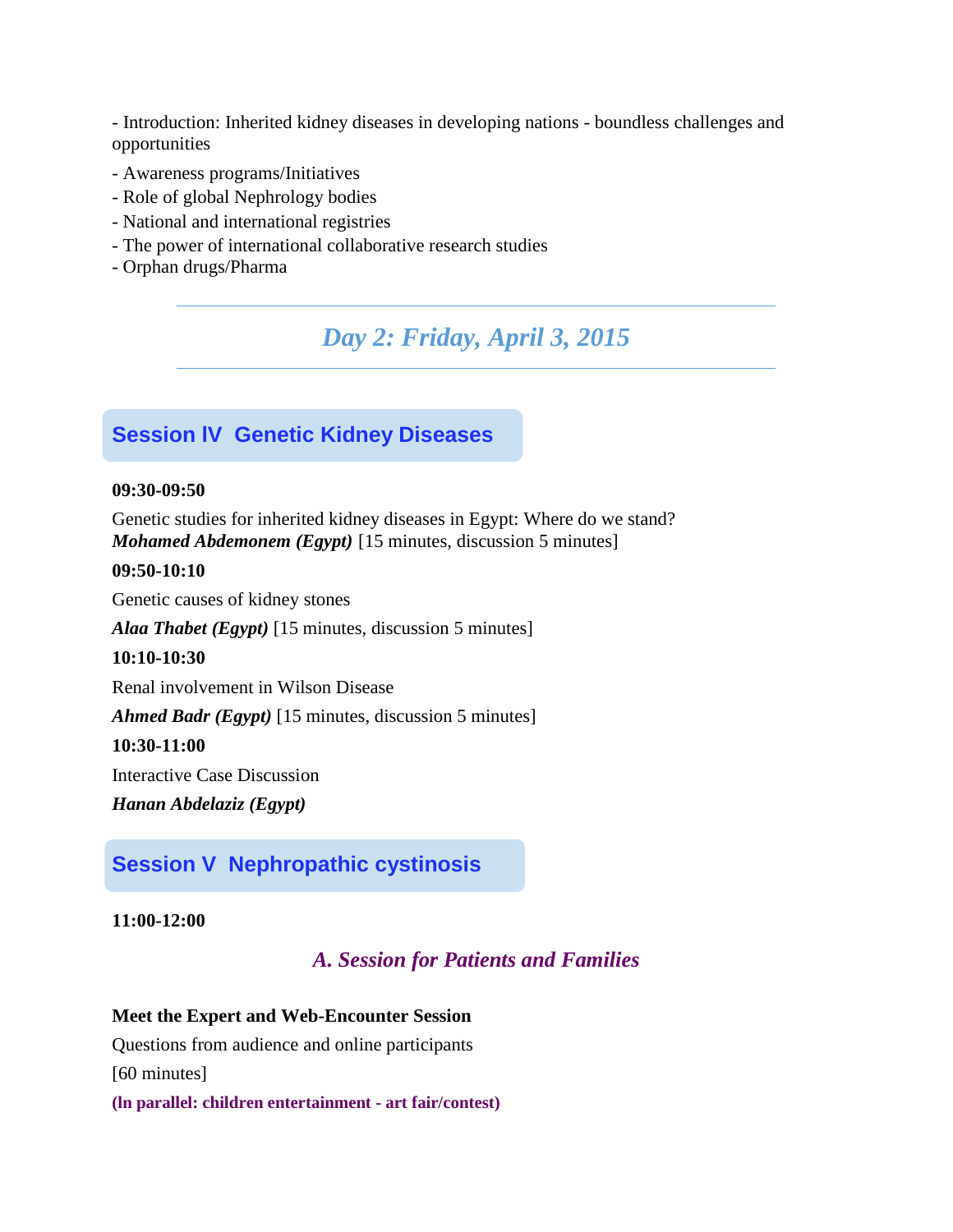- Introduction: Inherited kidney diseases in developing nations - boundless challenges and opportunities

- Awareness programs/Initiatives
- Role of global Nephrology bodies
- National and international registries
- The power of international collaborative research studies
- Orphan drugs/Pharma

*Day 2: Friday, April 3, 2015*

### **Session lV Genetic Kidney Diseases**

#### **09:30-09:50**

Genetic studies for inherited kidney diseases in Egypt: Where do we stand? *Mohamed Abdemonem (Egypt)* [15 minutes, discussion 5 minutes]

#### **09:50-10:10**

Genetic causes of kidney stones

*Alaa Thabet (Egypt)* [15 minutes, discussion 5 minutes]

#### **10:10-10:30**

Renal involvement in Wilson Disease

*Ahmed Badr (Egypt)* [15 minutes, discussion 5 minutes]

#### **10:30-11:00**

Interactive Case Discussion

*Hanan Abdelaziz (Egypt)* 

### **Session V Nephropathic cystinosis**

**11:00-12:00**

### *A. Session for Patients and Families*

# **Meet the Expert and Web-Encounter Session** Questions from audience and online participants

[60 minutes]

**(ln parallel: children entertainment - art fair/contest)**